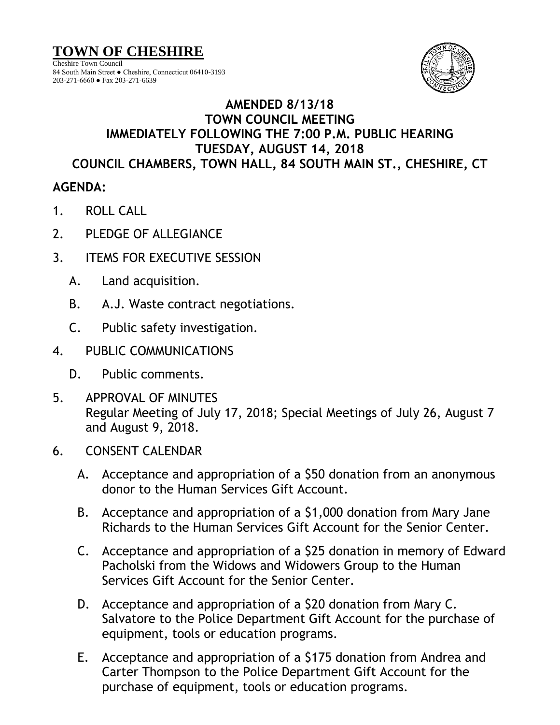**TOWN OF CHESHIRE**

Cheshire Town Council 84 South Main Street ● Cheshire, Connecticut 06410-3193 203-271-6660 ● Fax 203-271-6639



## **AMENDED 8/13/18 TOWN COUNCIL MEETING IMMEDIATELY FOLLOWING THE 7:00 P.M. PUBLIC HEARING TUESDAY, AUGUST 14, 2018 COUNCIL CHAMBERS, TOWN HALL, 84 SOUTH MAIN ST., CHESHIRE, CT**

## **AGENDA:**

- 1. ROLL CALL
- 2. PLEDGE OF ALLEGIANCE
- 3. ITEMS FOR EXECUTIVE SESSION
	- A. Land acquisition.
	- B. A.J. Waste contract negotiations.
	- C. Public safety investigation.
- 4. PUBLIC COMMUNICATIONS
	- D. Public comments.
- 5. APPROVAL OF MINUTES Regular Meeting of July 17, 2018; Special Meetings of July 26, August 7 and August 9, 2018.
- 6. CONSENT CALENDAR
	- A. Acceptance and appropriation of a \$50 donation from an anonymous donor to the Human Services Gift Account.
	- B. Acceptance and appropriation of a \$1,000 donation from Mary Jane Richards to the Human Services Gift Account for the Senior Center.
	- C. Acceptance and appropriation of a \$25 donation in memory of Edward Pacholski from the Widows and Widowers Group to the Human Services Gift Account for the Senior Center.
	- D. Acceptance and appropriation of a \$20 donation from Mary C. Salvatore to the Police Department Gift Account for the purchase of equipment, tools or education programs.
	- E. Acceptance and appropriation of a \$175 donation from Andrea and Carter Thompson to the Police Department Gift Account for the purchase of equipment, tools or education programs.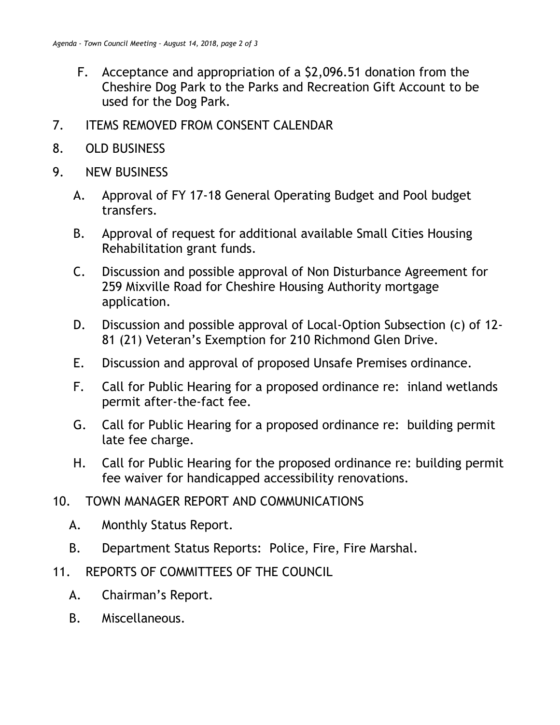- F. Acceptance and appropriation of a \$2,096.51 donation from the Cheshire Dog Park to the Parks and Recreation Gift Account to be used for the Dog Park.
- 7. ITEMS REMOVED FROM CONSENT CALENDAR
- 8. OLD BUSINESS
- 9. NEW BUSINESS
	- A. Approval of FY 17-18 General Operating Budget and Pool budget transfers.
	- B. Approval of request for additional available Small Cities Housing Rehabilitation grant funds.
	- C. Discussion and possible approval of Non Disturbance Agreement for 259 Mixville Road for Cheshire Housing Authority mortgage application.
	- D. Discussion and possible approval of Local-Option Subsection (c) of 12- 81 (21) Veteran's Exemption for 210 Richmond Glen Drive.
	- E. Discussion and approval of proposed Unsafe Premises ordinance.
	- F. Call for Public Hearing for a proposed ordinance re: inland wetlands permit after-the-fact fee.
	- G. Call for Public Hearing for a proposed ordinance re: building permit late fee charge.
	- H. Call for Public Hearing for the proposed ordinance re: building permit fee waiver for handicapped accessibility renovations.
- 10. TOWN MANAGER REPORT AND COMMUNICATIONS
	- A. Monthly Status Report.
	- B. Department Status Reports: Police, Fire, Fire Marshal.
- 11. REPORTS OF COMMITTEES OF THE COUNCIL
	- A. Chairman's Report.
	- B. Miscellaneous.